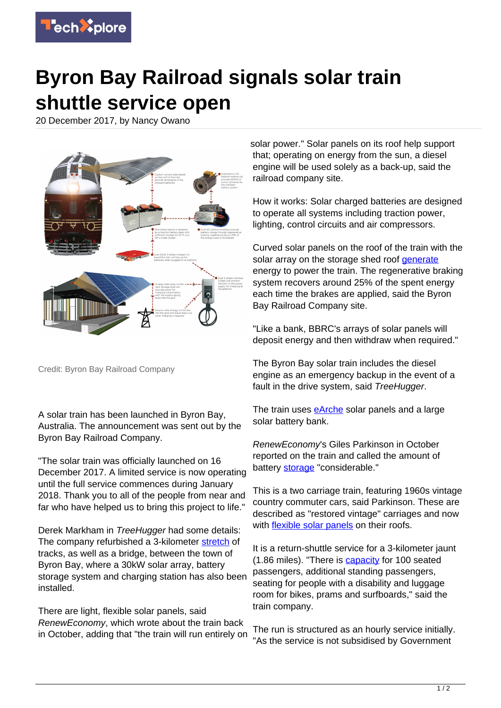

## **Byron Bay Railroad signals solar train shuttle service open**

20 December 2017, by Nancy Owano



Credit: Byron Bay Railroad Company

A solar train has been launched in Byron Bay, Australia. The announcement was sent out by the Byron Bay Railroad Company.

"The solar train was officially launched on 16 December 2017. A limited service is now operating until the full service commences during January 2018. Thank you to all of the people from near and far who have helped us to bring this project to life."

Derek Markham in TreeHugger had some details: The company refurbished a 3-kilometer [stretch](https://www.treehugger.com/solar-technology/worlds-first-solar-train-will-begin-service-soon-byron-bay-australia.html) of tracks, as well as a bridge, between the town of Byron Bay, where a 30kW solar array, battery storage system and charging station has also been installed.

There are light, flexible solar panels, said RenewEconomy, which wrote about the train back in October, adding that "the train will run entirely on

solar power." Solar panels on its roof help support that; operating on energy from the sun, a diesel engine will be used solely as a back-up, said the railroad company site.

How it works: Solar charged batteries are designed to operate all systems including traction power, lighting, control circuits and air compressors.

Curved solar panels on the roof of the train with the solar array on the storage shed roof [generate](http://byronbaytrain.com.au/sustainability/) energy to power the train. The regenerative braking system recovers around 25% of the spent energy each time the brakes are applied, said the Byron Bay Railroad Company site.

"Like a bank, BBRC's arrays of solar panels will deposit energy and then withdraw when required."

The Byron Bay solar train includes the diesel engine as an emergency backup in the event of a fault in the drive system, said TreeHugger.

The train uses [eArche](http://energus.com.au/case-study-commercial.html) solar panels and a large solar battery bank.

RenewEconomy's Giles Parkinson in October reported on the train and called the amount of battery [storage](http://reneweconomy.com.au/world-first-solar-train-about-to-be-launched-in-byron-bay-93544/) "considerable."

This is a two carriage train, featuring 1960s vintage country commuter cars, said Parkinson. These are described as "restored vintage" carriages and now with **flexible solar panels** on their roofs.

It is a return-shuttle service for a 3-kilometer jaunt (1.86 miles). "There is [capacity](http://byronbaytrain.com.au/) for 100 seated passengers, additional standing passengers, seating for people with a disability and luggage room for bikes, prams and surfboards," said the train company.

The run is structured as an hourly service initially. "As the service is not subsidised by Government